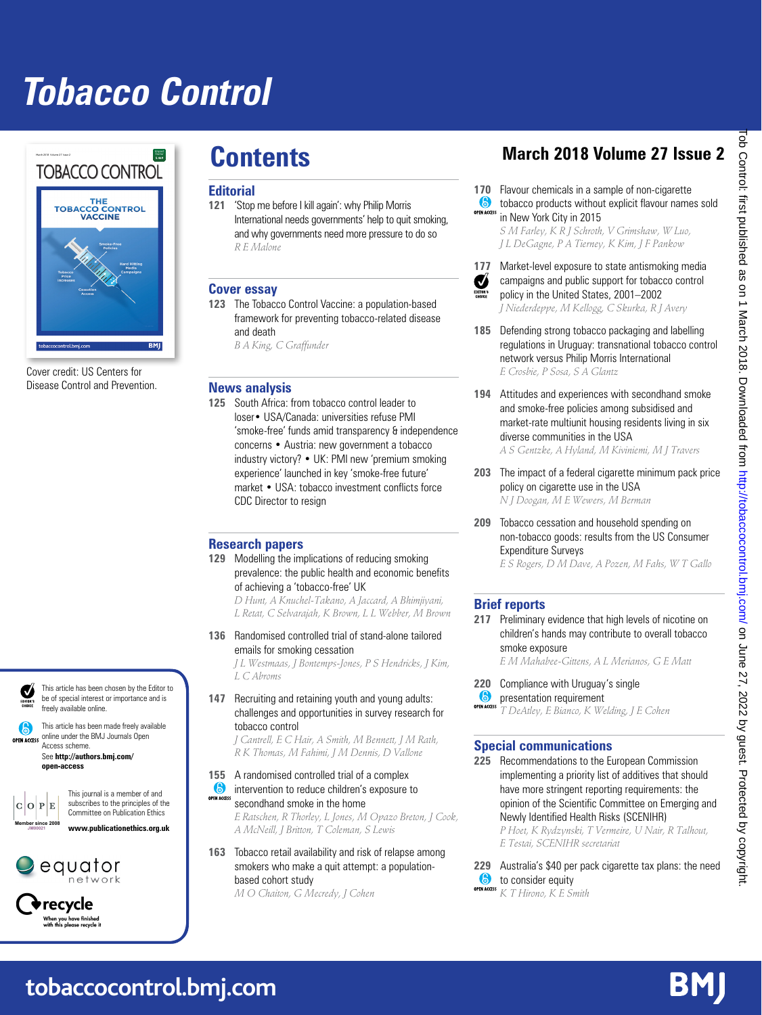# **Tobacco Control**



Cover credit: US Centers for Disease Control and Prevention.



This article has been chosen by the Editor to be of special interest or importance and is freely available online.

This article has been made freely available 6 open access online under the BMJ Journals Open Access scheme.

See **http://authors.bmj.com/ open-access**



This journal is a member of and subscribes to the principles of the Committee on Publication Ethics





recycle When you have finished<br>with this please recycle

### **Editorial**

**121** 'Stop me before I kill again': why Philip Morris International needs governments' help to quit smoking, and why governments need more pressure to do so *R E Malone*

### **Cover essay**

**123** The Tobacco Control Vaccine: a population-based framework for preventing tobacco-related disease and death

*B A King, C Graffunder*

### **News analysis**

**125** South Africa: from tobacco control leader to loser• USA/Canada: universities refuse PMI 'smoke-free' funds amid transparency & independence concerns • Austria: new government a tobacco industry victory? • UK: PMI new 'premium smoking experience' launched in key 'smoke-free future' market • USA: tobacco investment conflicts force CDC Director to resign

### **Research papers**

**129** Modelling the implications of reducing smoking prevalence: the public health and economic benefits of achieving a 'tobacco-free' UK

*D Hunt, A Knuchel-Takano, A Jaccard, A Bhimjiyani, L Retat, C Selvarajah, K Brown, L L Webber, M Brown*

**136** Randomised controlled trial of stand-alone tailored emails for smoking cessation

> *J L Westmaas, J Bontemps-Jones, P S Hendricks, J Kim, L C Abroms*

**147** Recruiting and retaining youth and young adults: challenges and opportunities in survey research for tobacco control

*J Cantrell, E C Hair, A Smith, M Bennett, J M Rath, R K Thomas, M Fahimi, J M Dennis, D Vallone*

- **155** A randomised controlled trial of a complex **intervention to reduce children's exposure to**
- OPEN ACCESS secondhand smoke in the home *E Ratschen, R Thorley, L Jones, M Opazo Breton, J Cook, A McNeill, J Britton, T Coleman, S Lewis*
- **163** Tobacco retail availability and risk of relapse among smokers who make a quit attempt: a populationbased cohort study *M O Chaiton, G Mecredy, J Cohen*

## **Contents March 2018 Volume 27 Issue 2**

- **170** Flavour chemicals in a sample of non-cigarette tobacco products without explicit flavour names sold  $\bullet$ 
	- in New York City in 2015

*S M Farley, K R J Schroth, V Grimshaw, W Luo, J L DeGagne, P A Tierney, K Kim, J F Pankow*

- **177** Market-level exposure to state antismoking media Ø campaigns and public support for tobacco control policy in the United States, 2001–2002 *J Niederdeppe, M Kellogg, C Skurka, R J Avery*
- **185** Defending strong tobacco packaging and labelling regulations in Uruguay: transnational tobacco control network versus Philip Morris International *E Crosbie, P Sosa, S A Glantz*
- **194** Attitudes and experiences with secondhand smoke and smoke-free policies among subsidised and market-rate multiunit housing residents living in six diverse communities in the USA *A S Gentzke, A Hyland, M Kiviniemi, M J Travers*
- **203** The impact of a federal cigarette minimum pack price policy on cigarette use in the USA *N J Doogan, M E Wewers, M Berman*
- **209** Tobacco cessation and household spending on non-tobacco goods: results from the US Consumer Expenditure Surveys

*E S Rogers, D M Dave, A Pozen, M Fahs, W T Gallo*

### **Brief reports**

**217** Preliminary evidence that high levels of nicotine on children's hands may contribute to overall tobacco smoke exposure *E M Mahabee-Gittens, A L Merianos, G E Matt*

**220** Compliance with Uruguay's single  $\bullet$ presentation requirement OPEN ACCESS

*T DeAtley, E Bianco, K Welding, J E Cohen*

### **Special communications**

**225** Recommendations to the European Commission implementing a priority list of additives that should have more stringent reporting requirements: the opinion of the Scientific Committee on Emerging and Newly Identified Health Risks (SCENIHR) *P Hoet, K Rydzynski, T Vermeire, U Nair, R Talhout, E Testai, SCENIHR secretariat*

**229** Australia's \$40 per pack cigarette tax plans: the need  $\bullet$ to consider equity *K T Hirono, K E Smith*

l ob Control: first published as on 1 March 2018. Downloaded from <http://tobaccocontrol.bmj.com/> on June 27, 2022 by guest. Protected by copyright. ob Control: first published as on 1 March 2018. Downloaded from http://tobaccocontrol.bmj.com/ on June 27, 2022 by guest. Protected by copyright

**tobaccocontrol.bmj.com**